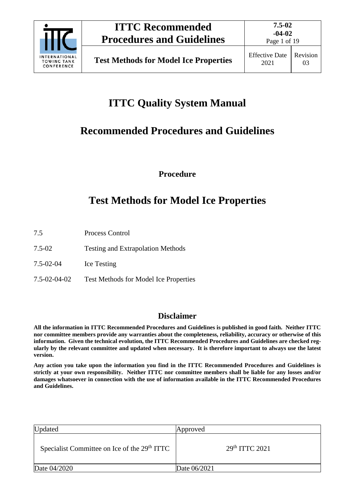

Page 1 of 19

# **ITTC Quality System Manual**

# **Recommended Procedures and Guidelines**

**Procedure**

# **Test Methods for Model Ice Properties**

- 7.5 Process Control
- 7.5-02 Testing and Extrapolation Methods
- 7.5-02-04 Ice Testing
- 7.5-02-04-02 Test Methods for Model Ice Properties

## **Disclaimer**

**All the information in ITTC Recommended Procedures and Guidelines is published in good faith. Neither ITTC nor committee members provide any warranties about the completeness, reliability, accuracy or otherwise of this information. Given the technical evolution, the ITTC Recommended Procedures and Guidelines are checked regularly by the relevant committee and updated when necessary. It is therefore important to always use the latest version.**

**Any action you take upon the information you find in the ITTC Recommended Procedures and Guidelines is strictly at your own responsibility. Neither ITTC nor committee members shall be liable for any losses and/or damages whatsoever in connection with the use of information available in the ITTC Recommended Procedures and Guidelines.**

| Updated                                                  | Approved                  |
|----------------------------------------------------------|---------------------------|
| Specialist Committee on Ice of the 29 <sup>th</sup> ITTC | 29 <sup>th</sup> TTC 2021 |
| Date 04/2020                                             | Date 06/2021              |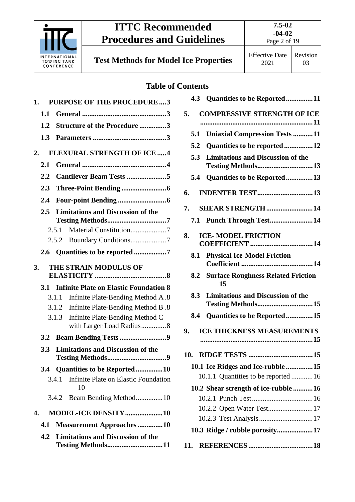

**Test Methods for Model Ice Properties Effective Date** 

## **Table of Contents**

| 1. |               |       | <b>PURPOSE OF THE PROCEDURE3</b>                              |
|----|---------------|-------|---------------------------------------------------------------|
|    | 1.1           |       |                                                               |
|    | 1.2           |       | Structure of the Procedure 3                                  |
|    | 1.3           |       |                                                               |
| 2. |               |       | <b>FLEXURAL STRENGTH OF ICE 4</b>                             |
|    | 2.1           |       |                                                               |
|    | $2.2\,$       |       | Cantilever Beam Tests 5                                       |
|    | 2.3           |       |                                                               |
|    | 2.4           |       |                                                               |
|    | $2.5^{\circ}$ |       | <b>Limitations and Discussion of the</b>                      |
|    |               | 2.5.1 | Material Constitution7                                        |
|    |               |       |                                                               |
|    | 2.6           |       | Quantities to be reported 7                                   |
| 3. |               |       | THE STRAIN MODULUS OF                                         |
|    | <b>3.1</b>    |       | <b>Infinite Plate on Elastic Foundation 8</b>                 |
|    |               | 3.1.1 | Infinite Plate-Bending Method A.8                             |
|    |               | 3.1.2 | Infinite Plate-Bending Method B.8                             |
|    |               | 3.1.3 | Infinite Plate-Bending Method C<br>with Larger Load Radius8   |
|    | 3.2           |       | <b>Beam Bending Tests 9</b>                                   |
|    | 3.3           |       | <b>Limitations and Discussion of the</b>                      |
|    |               |       | 3.4 Quantities to be Reported10                               |
|    |               | 3.4.1 | Infinite Plate on Elastic Foundation<br>10                    |
|    |               | 3.4.2 | Beam Bending Method10                                         |
| 4. |               |       | MODEL-ICE DENSITY10                                           |
|    | 4.1           |       | <b>Measurement Approaches10</b>                               |
|    | 4.2           |       | <b>Limitations and Discussion of the</b><br>Testing Methods11 |

|     | 4.3 Quantities to be Reported11                                      |  |
|-----|----------------------------------------------------------------------|--|
| 5.  | <b>COMPRESSIVE STRENGTH OF ICE</b>                                   |  |
| 5.1 | <b>Uniaxial Compression Tests 11</b>                                 |  |
|     | Quantities to be reported  12<br>5.2                                 |  |
|     | <b>Limitations and Discussion of the</b><br>5.3<br>Testing Methods13 |  |
|     | Quantities to be Reported13<br>5.4                                   |  |
| 6.  |                                                                      |  |
|     | 7. SHEAR STRENGTH  14                                                |  |
|     | Punch Through Test14<br>7.1                                          |  |
| 8.  | <b>ICE-MODEL FRICTION</b>                                            |  |
|     | <b>Physical Ice-Model Friction</b><br>8.1                            |  |
|     | <b>8.2 Surface Roughness Related Friction</b><br>15                  |  |
|     | 8.3<br><b>Limitations and Discussion of the</b><br>Testing Methods15 |  |
| 8.4 | Quantities to be Reported15                                          |  |
| 9.  | <b>ICE THICKNESS MEASUREMENTS</b>                                    |  |
|     |                                                                      |  |
| 10. |                                                                      |  |
|     | 10.1 Ice Ridges and Ice-rubble 15                                    |  |
|     | 10.1.1 Quantities to be reported 16                                  |  |
|     | 10.2 Shear strength of ice-rubble  16                                |  |
|     |                                                                      |  |
|     | 10.2.2 Open Water Test 17                                            |  |
|     |                                                                      |  |
|     | 10.3 Ridge / rubble porosity17                                       |  |
| 11. |                                                                      |  |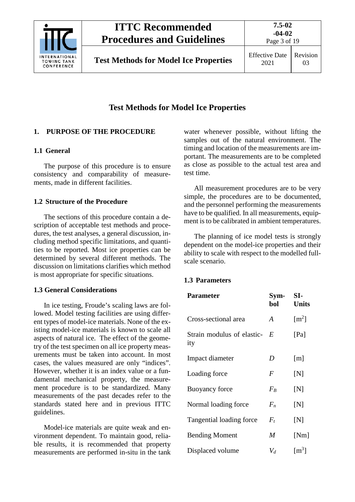

Page 3 of 19

## **Test Methods for Model Ice Properties**

## <span id="page-2-1"></span><span id="page-2-0"></span>**1. PURPOSE OF THE PROCEDURE**

## **1.1 General**

The purpose of this procedure is to ensure consistency and comparability of measurements, made in different facilities.

## <span id="page-2-2"></span>**1.2 Structure of the Procedure**

The sections of this procedure contain a description of acceptable test methods and procedures, the test analyses, a general discussion, including method specific limitations, and quantities to be reported. Most ice properties can be determined by several different methods. The discussion on limitations clarifies which method is most appropriate for specific situations.

## **1.3 General Considerations**

In ice testing, Froude's scaling laws are followed. Model testing facilities are using different types of model-ice materials. None of the existing model-ice materials is known to scale all aspects of natural ice. The effect of the geometry of the test specimen on all ice property measurements must be taken into account. In most cases, the values measured are only "indices". However, whether it is an index value or a fundamental mechanical property, the measurement procedure is to be standardized. Many measurements of the past decades refer to the standards stated here and in previous ITTC guidelines.

Model-ice materials are quite weak and environment dependent. To maintain good, reliable results, it is recommended that property measurements are performed in-situ in the tank water whenever possible, without lifting the samples out of the natural environment. The timing and location of the measurements are important. The measurements are to be completed as close as possible to the actual test area and test time.

All measurement procedures are to be very simple, the procedures are to be documented, and the personnel performing the measurements have to be qualified. In all measurements, equipment is to be calibrated in ambient temperatures.

The planning of ice model tests is strongly dependent on the model-ice properties and their ability to scale with respect to the modelled fullscale scenario.

## <span id="page-2-3"></span>**1.3 Parameters**

| <b>Parameter</b>                  | Sym-<br>bol    | SI-<br><b>Units</b> |
|-----------------------------------|----------------|---------------------|
| Cross-sectional area              | $\overline{A}$ | $\lceil m^2 \rceil$ |
| Strain modulus of elastic-<br>ity | $-E$           | [Pa]                |
| Impact diameter                   | D              | $\lceil m \rceil$   |
| Loading force                     | F              | [N]                 |
| <b>Buoyancy force</b>             | $F_B$          | [N]                 |
| Normal loading force              | $F_n$          | [N]                 |
| Tangential loading force          | $F_t$          | [N]                 |
| <b>Bending Moment</b>             | M              | [Nm]                |
| Displaced volume                  | $V_d$          | $\lceil m^3 \rceil$ |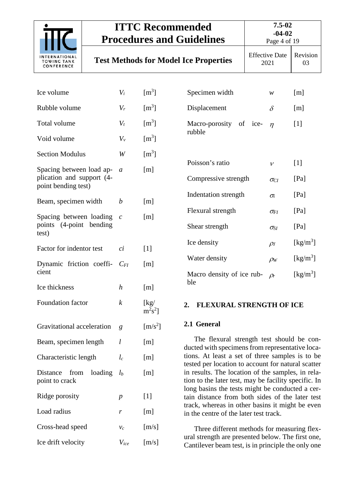

point to crack

Ridge porosity  $p$  [1]

Load radius  $r$  [m]

Cross-head speed  $v_c$  [m/s]

Ice drift velocity  $V_{ice}$  [m/s]

# **ITTC Recommended Procedures and Guidelines**

Page 4 of 19

**Test Methods for Model Ice Properties** Effective Date

2021

Revision 03

| Ice volume                                            | $V_i$            | $\rm [m^3]$                 | Specimen width                                                                                                                                             | $\mathcal W$  | [m]                            |  |
|-------------------------------------------------------|------------------|-----------------------------|------------------------------------------------------------------------------------------------------------------------------------------------------------|---------------|--------------------------------|--|
| Rubble volume                                         | $V_r$            | $\rm [m^3]$                 | Displacement                                                                                                                                               | $\delta$      | [m]                            |  |
| Total volume                                          | $V_t$            | $\rm [m^3]$                 | Macro-porosity<br>of ice-                                                                                                                                  | $\eta$        | $[1]$                          |  |
| Void volume                                           | $V_{v}$          | $\rm [m^3]$                 | rubble                                                                                                                                                     |               |                                |  |
| <b>Section Modulus</b>                                | W                | $\rm [m^3]$                 |                                                                                                                                                            |               |                                |  |
| Spacing between load ap-<br>plication and support (4- | $\mathfrak a$    | [m]                         | Poisson's ratio                                                                                                                                            | $\mathcal V$  | $[1]$                          |  |
| point bending test)                                   |                  |                             | Compressive strength                                                                                                                                       | $\sigma_{Cl}$ | [Pa]                           |  |
| Beam, specimen width                                  | $\boldsymbol{b}$ | [m]                         | Indentation strength                                                                                                                                       | $\sigma_i$    | [Pa]                           |  |
| Spacing between loading                               | $\mathcal{C}$    | [m]                         | Flexural strength                                                                                                                                          | $\sigma_{FI}$ | [Pa]                           |  |
| points (4-point bending<br>test)                      |                  |                             | Shear strength                                                                                                                                             | $\sigma_{SI}$ | [Pa]                           |  |
| Factor for indentor test                              | $\overline{ci}$  | $[1]$                       | Ice density                                                                                                                                                | $\rho_I$      | $\left[\mathrm{kg/m^3}\right]$ |  |
| Dynamic friction coeffi-                              | $C_{FI}$         | [m]                         | Water density                                                                                                                                              | $\rho_W$      | $\left[\mathrm{kg/m^3}\right]$ |  |
| cient                                                 |                  |                             | Macro density of ice rub-                                                                                                                                  | $\rho_r$      | $\left[\mathrm{kg/m^3}\right]$ |  |
| Ice thickness                                         | $\boldsymbol{h}$ | [m]                         | ble                                                                                                                                                        |               |                                |  |
| Foundation factor                                     | $\boldsymbol{k}$ | [kg]<br>$m^2s^2$ ]          | FLEXURAL STRENGTH OF ICE<br>2.                                                                                                                             |               |                                |  |
| Gravitational acceleration                            | g                | $\left[\text{m/s}^2\right]$ | 2.1 General                                                                                                                                                |               |                                |  |
| Beam, specimen length                                 | l                | [m]                         | The flexural strength test should be con-<br>ducted with specimens from representative loca-                                                               |               |                                |  |
| Characteristic length                                 | $l_c$            | [m]                         | tions. At least a set of three samples is to be<br>tested per location to account for natural scatter<br>in results. The location of the samples, in rela- |               |                                |  |
| Distance<br>from<br>loading                           | $l_b$            | $\lceil m \rceil$           |                                                                                                                                                            |               |                                |  |

<span id="page-3-1"></span><span id="page-3-0"></span>tested per location to account for natural scatter in results. The location of the samples, in relation to the later test, may be facility specific. In long basins the tests might be conducted a certain distance from both sides of the later test track, whereas in other basins it might be even in the centre of the later test track.

Three different methods for measuring flexural strength are presented below. The first one, Cantilever beam test, is in principle the only one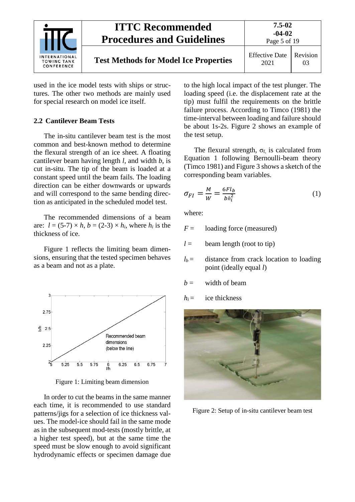

used in the ice model tests with ships or structures. The other two methods are mainly used for special research on model ice itself.

#### <span id="page-4-0"></span>**2.2 Cantilever Beam Tests**

The in-situ cantilever beam test is the most common and best-known method to determine the flexural strength of an ice sheet. A floating cantilever beam having length *l*, and width *b*, is cut in-situ. The tip of the beam is loaded at a constant speed until the beam fails. The loading direction can be either downwards or upwards and will correspond to the same bending direction as anticipated in the scheduled model test.

The recommended dimensions of a beam are:  $l = (5-7) \times h$ ,  $b = (2-3) \times h$ , where  $h_i$  is the thickness of ice.

[Figure](#page-4-1) 1 reflects the limiting beam dimensions, ensuring that the tested specimen behaves as a beam and not as a plate.

<span id="page-4-1"></span>

Figure 1: Limiting beam dimension

In order to cut the beams in the same manner each time, it is recommended to use standard patterns/jigs for a selection of ice thickness values. The model-ice should fail in the same mode as in the subsequent mod-tests (mostly brittle, at a higher test speed), but at the same time the speed must be slow enough to avoid significant hydrodynamic effects or specimen damage due to the high local impact of the test plunger. The loading speed (i.e. the displacement rate at the tip) must fulfil the requirements on the brittle failure process. According to Timco (1981) the time-interval between loading and failure should be about 1s-2s. Figure 2 shows an example of the test setup.

The flexural strength,  $\sigma_f$  is calculated from Equation 1 following Bernoulli-beam theory (Timco 1981) an[d Figure 3](#page-5-2) shows a sketch of the corresponding beam variables.

$$
\sigma_{FI} = \frac{M}{W} = \frac{6Fl_b}{bh_i^2} \tag{1}
$$

where:

 $F =$  loading force (measured)

 $l =$  beam length (root to tip)

- $l_b$  = distance from crack location to loading point (ideally equal *l*)
- $b =$  width of beam
- $h_i =$  ice thickness



Figure 2: Setup of in-situ cantilever beam test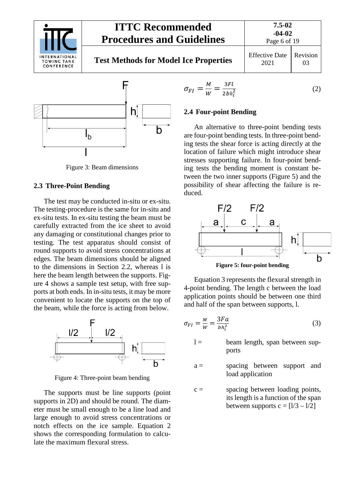

# **Test Methods for Model Ice Properties Effective Date**







Figure 3: Beam dimensions

#### <span id="page-5-2"></span><span id="page-5-0"></span>**2.3 Three-Point Bending**

The test may be conducted in-situ or ex-situ. The testing-procedure is the same for in-situ and ex-situ tests. In ex-situ testing the beam must be carefully extracted from the ice sheet to avoid any damaging or constitutional changes prior to testing. The test apparatus should consist of round supports to avoid stress concentrations at edges. The beam dimensions should be aligned to the dimensions in Section 2.2, whereas l is here the beam length between the supports. Figure 4 shows a sample test setup, with free supports at both ends. In in-situ tests, it may be more convenient to locate the supports on the top of the beam, while the force is acting from below.



Figure 4: Three-point beam bending

The supports must be line supports (point supports in 2D) and should be round. The diameter must be small enough to be a line load and large enough to avoid stress concentrations or notch effects on the ice sample. Equation 2 shows the corresponding formulation to calculate the maximum flexural stress.

$$
\sigma_{FI} = \frac{M}{W} = \frac{3Fl}{2bh_i^2}
$$
 (2)

#### <span id="page-5-1"></span>**2.4 Four-point Bending**

An alternative to three-point bending tests are four-point bending tests. In three-point bending tests the shear force is acting directly at the location of failure which might introduce shear stresses supporting failure. In four-point bending tests the bending moment is constant between the two inner supports (Figure 5) and the possibility of shear affecting the failure is reduced.



Equation 3 represents the flexural strength in 4-point bending. The length c between the load application points should be between one third and half of the span between supports, l.

$$
\sigma_{FI} = \frac{M}{W} = \frac{3Fa}{bh_i^2} \tag{3}
$$

- $l =$  beam length, span between supports
- a = spacing between support and load application
- $c =$  spacing between loading points, its length is a function of the span between supports  $c = [1/3 - 1/2]$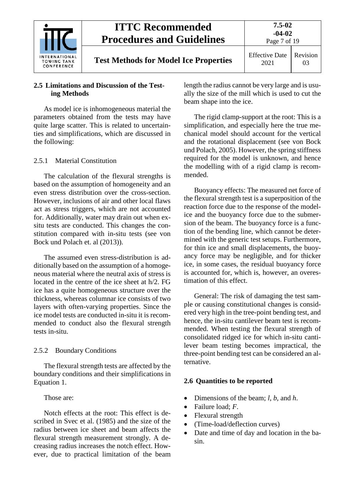

#### <span id="page-6-0"></span>**2.5 Limitations and Discussion of the Testing Methods**

As model ice is inhomogeneous material the parameters obtained from the tests may have quite large scatter. This is related to uncertainties and simplifications, which are discussed in the following:

#### <span id="page-6-1"></span>2.5.1 Material Constitution

The calculation of the flexural strengths is based on the assumption of homogeneity and an even stress distribution over the cross-section. However, inclusions of air and other local flaws act as stress triggers, which are not accounted for. Additionally, water may drain out when exsitu tests are conducted. This changes the constitution compared with in-situ tests (see von Bock und Polach et. al (2013)).

The assumed even stress-distribution is additionally based on the assumption of a homogeneous material where the neutral axis of stress is located in the centre of the ice sheet at h/2. FG ice has a quite homogeneous structure over the thickness, whereas columnar ice consists of two layers with often-varying properties. Since the ice model tests are conducted in-situ it is recommended to conduct also the flexural strength tests in-situ.

#### <span id="page-6-2"></span>2.5.2 Boundary Conditions

The flexural strength tests are affected by the boundary conditions and their simplifications in Equation 1.

Those are:

Notch effects at the root: This effect is described in Svec et al. (1985) and the size of the radius between ice sheet and beam affects the flexural strength measurement strongly. A decreasing radius increases the notch effect. However, due to practical limitation of the beam length the radius cannot be very large and is usually the size of the mill which is used to cut the beam shape into the ice.

The rigid clamp-support at the root: This is a simplification, and especially here the true mechanical model should account for the vertical and the rotational displacement (see von Bock und Polach, 2005). However, the spring stiffness required for the model is unknown, and hence the modelling with of a rigid clamp is recommended.

Buoyancy effects: The measured net force of the flexural strength test is a superposition of the reaction force due to the response of the modelice and the buoyancy force due to the submersion of the beam. The buoyancy force is a function of the bending line, which cannot be determined with the generic test setups. Furthermore, for thin ice and small displacements, the buoyancy force may be negligible, and for thicker ice, in some cases, the residual buoyancy force is accounted for, which is, however, an overestimation of this effect.

General: The risk of damaging the test sample or causing constitutional changes is considered very high in the tree-point bending test, and hence, the in-situ cantilever beam test is recommended. When testing the flexural strength of consolidated ridged ice for which in-situ cantilever beam testing becomes impractical, the three-point bending test can be considered an alternative.

#### <span id="page-6-3"></span>**2.6 Quantities to be reported**

- Dimensions of the beam; *l*, *b*, and *h*.
- Failure load; *F*.
- Flexural strength
- (Time-load/deflection curves)
- Date and time of day and location in the basin.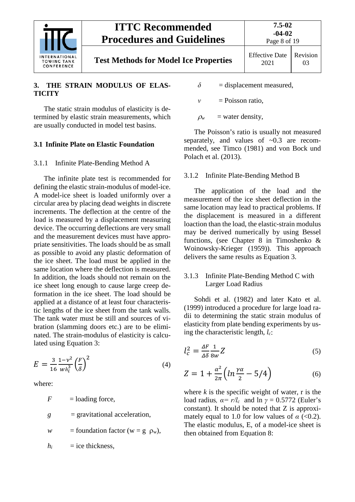

#### <span id="page-7-0"></span>**3. THE STRAIN MODULUS OF ELAS-TICITY**

The static strain modulus of elasticity is determined by elastic strain measurements, which are usually conducted in model test basins.

#### <span id="page-7-2"></span><span id="page-7-1"></span>**3.1 Infinite Plate on Elastic Foundation**

#### 3.1.1 Infinite Plate-Bending Method A

The infinite plate test is recommended for defining the elastic strain-modulus of model-ice. A model-ice sheet is loaded uniformly over a circular area by placing dead weights in discrete increments. The deflection at the centre of the load is measured by a displacement measuring device. The occurring deflections are very small and the measurement devices must have appropriate sensitivities. The loads should be as small as possible to avoid any plastic deformation of the ice sheet. The load must be applied in the same location where the deflection is measured. In addition, the loads should not remain on the ice sheet long enough to cause large creep deformation in the ice sheet. The load should be applied at a distance of at least four characteristic lengths of the ice sheet from the tank walls. The tank water must be still and sources of vibration (slamming doors etc.) are to be eliminated. The strain-modulus of elasticity is calculated using Equation 3:

$$
E = \frac{3}{16} \frac{1 - v^2}{w h_i^3} \left(\frac{F}{\delta}\right)^2 \tag{4}
$$

where:

 $F =$ loading force, *g* = gravitational acceleration, *w* = foundation factor ( $w = g \rho_w$ ),  $h_i$  = ice thickness,

- $\delta$  = displacement measured,
- *ν* = Poisson ratio.
- $\rho_w$  = water density,

The Poisson's ratio is usually not measured separately, and values of  $\sim 0.3$  are recommended, see Timco (1981) and von Bock und Polach et al. (2013).

#### <span id="page-7-3"></span>3.1.2 Infinite Plate-Bending Method B

The application of the load and the measurement of the ice sheet deflection in the same location may lead to practical problems. If the displacement is measured in a different loaction than the load, the elastic-strain modulus may be derived numerically by using Bessel functions, (see Chapter 8 in Timoshenko & Woinowsky-Krieger (1959)). This approach delivers the same results as Equation 3.

#### <span id="page-7-4"></span>3.1.3 Infinite Plate-Bending Method C with Larger Load Radius

Sohdi et al. (1982) and later Kato et al. (1999) introduced a procedure for large load radii to determining the static strain modulus of elasticity from plate bending experiments by using the characteristic length, *lc*:

$$
l_c^2 = \frac{\Delta F}{\Delta \delta} \frac{1}{8w} Z \tag{5}
$$

$$
Z = 1 + \frac{\alpha^2}{2\pi} \left( \ln \frac{\gamma \alpha}{2} - 5/4 \right) \tag{6}
$$

where  $k$  is the specific weight of water,  $r$  is the load radius,  $\alpha = r/l_c$  and  $\ln \gamma = 0.5772$  (Euler's constant). It should be noted that Z is approximately equal to 1.0 for low values of  $\alpha$  (<0.2). The elastic modulus, E, of a model-ice sheet is then obtained from Equation 8: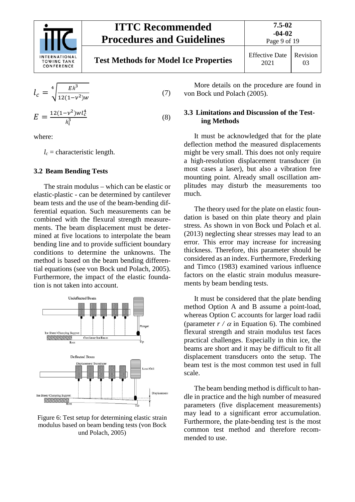

# **Test Methods for Model Ice Properties Effective Date**



$$
l_c = \sqrt[4]{\frac{Eh^3}{12(1-\nu^2)w}}
$$
 (7)

$$
E = \frac{12(1 - v^2)wl_c^4}{h_i^3}
$$
 (8)

where:

 $l_c$  = characteristic length.

#### <span id="page-8-0"></span>**3.2 Beam Bending Tests**

The strain modulus – which can be elastic or elastic-plastic - can be determined by cantilever beam tests and the use of the beam-bending differential equation. Such measurements can be combined with the flexural strength measurements. The beam displacement must be determined at five locations to interpolate the beam bending line and to provide sufficient boundary conditions to determine the unknowns. The method is based on the beam bending differential equations (see von Bock und Polach, 2005). Furthermore, the impact of the elastic foundation is not taken into account.



#### Figure 6: Test setup for determining elastic strain modulus based on beam bending tests (von Bock und Polach, 2005)

More details on the procedure are found in von Bock und Polach (2005).

#### <span id="page-8-1"></span>**3.3 Limitations and Discussion of the Testing Methods**

It must be acknowledged that for the plate deflection method the measured displacements might be very small. This does not only require a high-resolution displacement transducer (in most cases a laser), but also a vibration free mounting point. Already small oscillation amplitudes may disturb the measurements too much.

The theory used for the plate on elastic foundation is based on thin plate theory and plain stress. As shown in von Bock und Polach et al. (2013) neglecting shear stresses may lead to an error. This error may increase for increasing thickness. Therefore, this parameter should be considered as an index. Furthermore, Frederking and Timco (1983) examined various influence factors on the elastic strain modulus measurements by beam bending tests.

It must be considered that the plate bending method Option A and B assume a point-load, whereas Option C accounts for larger load radii (parameter  $r / \alpha$  in Equation 6). The combined flexural strength and strain modulus test faces practical challenges. Especially in thin ice, the beams are short and it may be difficult to fit all displacement transducers onto the setup. The beam test is the most common test used in full scale.

The beam bending method is difficult to handle in practice and the high number of measured parameters (five displacement measurements) may lead to a significant error accumulation. Furthermore, the plate-bending test is the most common test method and therefore recommended to use.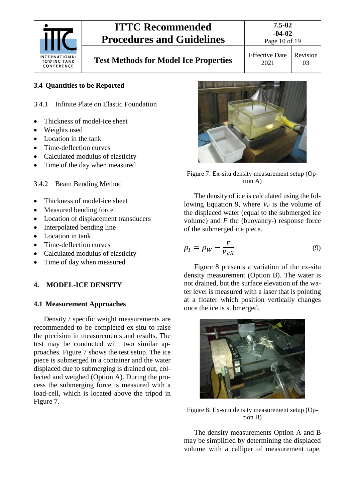

# **Test Methods for Model Ice Properties** Effective Date

# Page 10 of 19

2021 Revision 03

## <span id="page-9-1"></span><span id="page-9-0"></span>**3.4 Quantities to be Reported**

- 3.4.1 Infinite Plate on Elastic Foundation
- Thickness of model-ice sheet
- Weights used
- Location in the tank
- Time-deflection curves
- Calculated modulus of elasticity
- Time of the day when measured
- <span id="page-9-2"></span>3.4.2 Beam Bending Method
- Thickness of model-ice sheet
- Measured bending force
- Location of displacement transducers
- Interpolated bending line
- Location in tank
- Time-deflection curves
- Calculated modulus of elasticity
- Time of day when measured

#### <span id="page-9-4"></span><span id="page-9-3"></span>**4. MODEL-ICE DENSITY**

#### **4.1 Measurement Approaches**

Density / specific weight measurements are recommended to be completed ex-situ to raise the precision in measurements and results. The test may be conducted with two similar approaches. [Figure 7](#page-9-5) shows the test setup. The ice piece is submerged in a container and the water displaced due to submerging is drained out, collected and weighed (Option A). During the process the submerging force is measured with a load-cell, which is located above the tripod in [Figure 7.](#page-9-6)



Figure 7: Ex-situ density measurement setup (Option A)

<span id="page-9-6"></span>The density of ice is calculated using the following Equation 9, where  $V_d$  is the volume of the displaced water (equal to the submerged ice volume) and *F* the (buoyancy-) response force of the submerged ice piece.

$$
\rho_I = \rho_W - \frac{F}{V_d g} \tag{9}
$$

[Figure 8](#page-9-5) presents a variation of the ex-situ density measurement (Option B). The water is not drained, but the surface elevation of the water level is measured with a laser that is pointing at a floater which position vertically changes once the ice is submerged.



Figure 8: Ex-situ density measurement setup (Option B)

<span id="page-9-5"></span>The density measurements Option A and B may be simplified by determining the displaced volume with a calliper of measurement tape.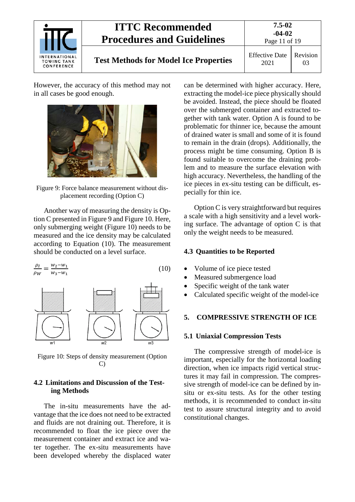

# **Test Methods for Model Ice Properties Effective Date**

2021 Revision 03

However, the accuracy of this method may not in all cases be good enough.



Figure 9: Force balance measurement without displacement recording (Option C)

<span id="page-10-4"></span>Another way of measuring the density is Option C presented in [Figure 9](#page-10-4) and [Figure 10.](#page-10-5) Here, only submerging weight [\(Figure 10\)](#page-10-5) needs to be measured and the ice density may be calculated according to Equation (10). The measurement should be conducted on a level surface.



<span id="page-10-5"></span>Figure 10: Steps of density measurement (Option C)

#### <span id="page-10-0"></span>**4.2 Limitations and Discussion of the Testing Methods**

The in-situ measurements have the advantage that the ice does not need to be extracted and fluids are not draining out. Therefore, it is recommended to float the ice piece over the measurement container and extract ice and water together. The ex-situ measurements have been developed whereby the displaced water can be determined with higher accuracy. Here, extracting the model-ice piece physically should be avoided. Instead, the piece should be floated over the submerged container and extracted together with tank water. Option A is found to be problematic for thinner ice, because the amount of drained water is small and some of it is found to remain in the drain (drops). Additionally, the process might be time consuming. Option B is found suitable to overcome the draining problem and to measure the surface elevation with high accuracy. Nevertheless, the handling of the ice pieces in ex-situ testing can be difficult, especially for thin ice.

Option C is very straightforward but requires a scale with a high sensitivity and a level working surface. The advantage of option C is that only the weight needs to be measured.

#### <span id="page-10-1"></span>**4.3 Quantities to be Reported**

- Volume of ice piece tested
- Measured submergence load
- Specific weight of the tank water
- Calculated specific weight of the model-ice

#### <span id="page-10-3"></span><span id="page-10-2"></span>**5. COMPRESSIVE STRENGTH OF ICE**

#### **5.1 Uniaxial Compression Tests**

The compressive strength of model-ice is important, especially for the horizontal loading direction, when ice impacts rigid vertical structures it may fail in compression. The compressive strength of model-ice can be defined by insitu or ex-situ tests. As for the other testing methods, it is recommended to conduct in-situ test to assure structural integrity and to avoid constitutional changes.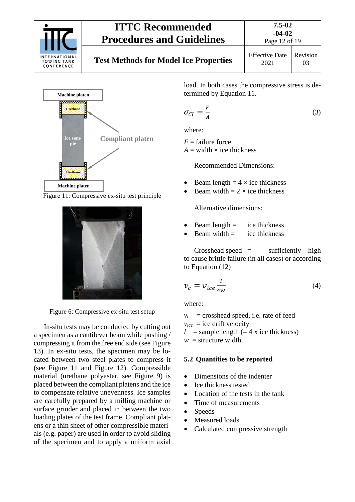

# **Test Methods for Model Ice Properties Effective Date**



<span id="page-11-1"></span>Figure 11: Compressive ex-situ test principle



Figure 6: Compressive ex-situ test setup

<span id="page-11-2"></span>In-situ tests may be conducted by cutting out a specimen as a cantilever beam while pushing / compressing it from the free end side (see [Figure](#page-12-3)  [13\)](#page-12-3). In ex-situ tests, the specimen may be located between two steel plates to compress it (see [Figure 11](#page-11-1) and [Figure 12\)](#page-11-2). Compressible material (urethane polyester, see Figure 9) is placed between the compliant platens and the ice to compensate relative unevenness. Ice samples are carefully prepared by a milling machine or surface grinder and placed in between the two loading plates of the test frame. Compliant platens or a thin sheet of other compressible materials (e.g. paper) are used in order to avoid sliding of the specimen and to apply a uniform axial load. In both cases the compressive stress is determined by Equation 11.

$$
\sigma_{Cl} = \frac{F}{A} \tag{3}
$$

where:

 $F =$  failure force  $A = \text{width} \times \text{ice thickness}$ 

Recommended Dimensions:

- Beam length  $= 4 \times i$ ce thickness
- Beam width  $= 2 \times i$ ce thickness

Alternative dimensions:

- Beam length  $=$  ice thickness
- Beam width  $=$  ice thickness

 $Crosshead speed =$  sufficiently high to cause brittle failure (in all cases) or according to Equation (12)

$$
v_c = v_{ice} \frac{l}{4w} \tag{4}
$$

where:

 $v_c$  = crosshead speed, i.e. rate of feed

 $v_{ice}$  = ice drift velocity

 $l =$ sample length (= 4 x ice thickness)

<span id="page-11-0"></span> $w =$ structure width

#### **5.2 Quantities to be reported**

- Dimensions of the indenter
- Ice thickness tested
- Location of the tests in the tank
- Time of measurements
- Speeds
- Measured loads
- Calculated compressive strength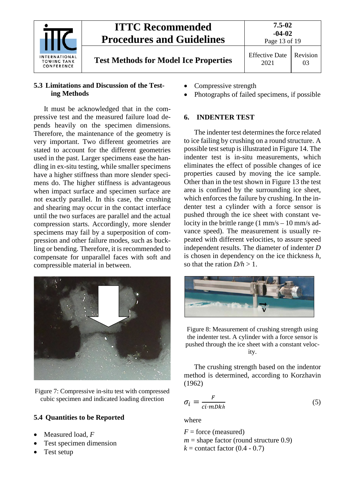

#### <span id="page-12-0"></span>**5.3 Limitations and Discussion of the Testing Methods**

It must be acknowledged that in the compressive test and the measured failure load depends heavily on the specimen dimensions. Therefore, the maintenance of the geometry is very important. Two different geometries are stated to account for the different geometries used in the past. Larger specimens ease the handling in ex-situ testing, while smaller specimens have a higher stiffness than more slender specimens do. The higher stiffness is advantageous when impact surface and specimen surface are not exactly parallel. In this case, the crushing and shearing may occur in the contact interface until the two surfaces are parallel and the actual compression starts. Accordingly, more slender specimens may fail by a superposition of compression and other failure modes, such as buckling or bending. Therefore, it is recommended to compensate for unparallel faces with soft and compressible material in between.



Figure 7: Compressive in-situ test with compressed cubic specimen and indicated loading direction

## <span id="page-12-3"></span><span id="page-12-1"></span>**5.4 Quantities to be Reported**

- Measured load, *F*
- Test specimen dimension
- Test setup
- Compressive strength
- Photographs of failed specimens, if possible

#### <span id="page-12-2"></span>**6. INDENTER TEST**

The indenter test determines the force related to ice failing by crushing on a round structure. A possible test setup is illustrated in [Figure 14.](#page-12-4) The indenter test is in-situ measurements, which eliminates the effect of possible changes of ice properties caused by moving the ice sample. Other than in the test shown in [Figure 13](#page-12-3) the test area is confined by the surrounding ice sheet, which enforces the failure by crushing. In the indenter test a cylinder with a force sensor is pushed through the ice sheet with constant velocity in the brittle range  $(1 \text{ mm/s} - 10 \text{ mm/s} \text{ ad}$ vance speed). The measurement is usually repeated with different velocities, to assure speed independent results. The diameter of indenter *D* is chosen in dependency on the ice thickness *h*, so that the ration  $D/h > 1$ .



<span id="page-12-4"></span>Figure 8: Measurement of crushing strength using the indenter test. A cylinder with a force sensor is pushed through the ice sheet with a constant velocity.

The crushing strength based on the indentor method is determined, according to Korzhavin (1962)

$$
\sigma_i = \frac{F}{ci \cdot mDkh} \tag{5}
$$

where

*F* = force (measured)  $m =$ shape factor (round structure 0.9)  $k =$  contact factor  $(0.4 - 0.7)$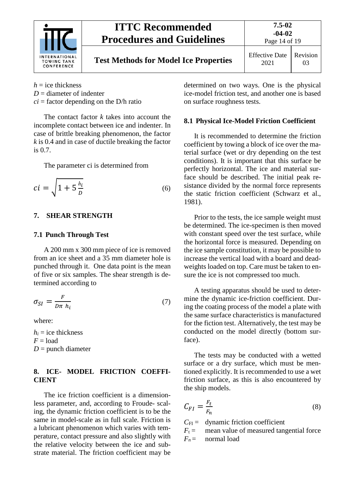

# **Test Methods for Model Ice Properties Effective Date**

2021 Revision 03

- $h =$  ice thickness
- $D =$  diameter of indenter
- $ci =$  factor depending on the D/h ratio

The contact factor *k* takes into account the incomplete contact between ice and indenter. In case of brittle breaking phenomenon, the factor *k* is 0.4 and in case of ductile breaking the factor is 0.7.

The parameter ci is determined from

$$
ci = \sqrt{1 + 5\frac{h_i}{D}}\tag{6}
$$

#### <span id="page-13-1"></span><span id="page-13-0"></span>**7. SHEAR STRENGTH**

#### **7.1 Punch Through Test**

A 200 mm x 300 mm piece of ice is removed from an ice sheet and a 35 mm diameter hole is punched through it. One data point is the mean of five or six samples. The shear strength is determined according to

$$
\sigma_{SI} = \frac{F}{D\pi h_i} \tag{7}
$$

where:

 $h_i$  = ice thickness  $F =$ load  $D =$  punch diameter

#### <span id="page-13-2"></span>**8. ICE- MODEL FRICTION COEFFI-CIENT**

The ice friction coefficient is a dimensionless parameter, and, according to Froude- scaling, the dynamic friction coefficient is to be the same in model-scale as in full scale. Friction is a lubricant phenomenon which varies with temperature, contact pressure and also slightly with the relative velocity between the ice and substrate material. The friction coefficient may be

determined on two ways. One is the physical ice-model friction test, and another one is based on surface roughness tests.

#### <span id="page-13-3"></span>**8.1 Physical Ice-Model Friction Coefficient**

It is recommended to determine the friction coefficient by towing a block of ice over the material surface (wet or dry depending on the test conditions). It is important that this surface be perfectly horizontal. The ice and material surface should be described. The initial peak resistance divided by the normal force represents the static friction coefficient (Schwarz et al., 1981).

Prior to the tests, the ice sample weight must be determined. The ice-specimen is then moved with constant speed over the test surface, while the horizontal force is measured. Depending on the ice sample constitution, it may be possible to increase the vertical load with a board and deadweights loaded on top. Care must be taken to ensure the ice is not compressed too much.

A testing apparatus should be used to determine the dynamic ice-friction coefficient. During the coating process of the model a plate with the same surface characteristics is manufactured for the fiction test. Alternatively, the test may be conducted on the model directly (bottom surface).

The tests may be conducted with a wetted surface or a dry surface, which must be mentioned explicitly. It is recommended to use a wet friction surface, as this is also encountered by the ship models.

$$
C_{FI} = \frac{F_t}{F_n} \tag{8}
$$

 $C_{\text{FI}}$  = dynamic friction coefficient

 $F_t$  = mean value of measured tangential force

 $F_n$  = normal load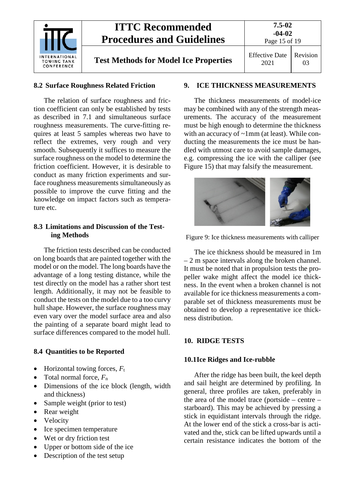

**Test Methods for Model Ice Properties Effective Date** 

## <span id="page-14-0"></span>**8.2 Surface Roughness Related Friction**

The relation of surface roughness and friction coefficient can only be established by tests as described in 7.1 and simultaneous surface roughness measurements. The curve-fitting requires at least 5 samples whereas two have to reflect the extremes, very rough and very smooth. Subsequently it suffices to measure the surface roughness on the model to determine the friction coefficient. However, it is desirable to conduct as many friction experiments and surface roughness measurements simultaneously as possible to improve the curve fitting and the knowledge on impact factors such as temperature etc.

#### <span id="page-14-1"></span>**8.3 Limitations and Discussion of the Testing Methods**

The friction tests described can be conducted on long boards that are painted together with the model or on the model. The long boards have the advantage of a long testing distance, while the test directly on the model has a rather short test length. Additionally, it may not be feasible to conduct the tests on the model due to a too curvy hull shape. However, the surface roughness may even vary over the model surface area and also the painting of a separate board might lead to surface differences compared to the model hull.

## <span id="page-14-2"></span>**8.4 Quantities to be Reported**

- Horizontal towing forces,  $F_t$
- Total normal force, *F*<sup>n</sup>
- Dimensions of the ice block (length, width and thickness)
- Sample weight (prior to test)
- Rear weight
- Velocity
- Ice specimen temperature
- Wet or dry friction test
- Upper or bottom side of the ice
- Description of the test setup

### <span id="page-14-3"></span>**9. ICE THICKNESS MEASUREMENTS**

The thickness measurements of model-ice may be combined with any of the strength measurements. The accuracy of the measurement must be high enough to determine the thickness with an accuracy of ~1mm (at least). While conducting the measurements the ice must be handled with utmost care to avoid sample damages, e.g. compressing the ice with the calliper (see [Figure 15\)](#page-14-6) that may falsify the measurement.



<span id="page-14-6"></span>Figure 9: Ice thickness measurements with calliper

The ice thickness should be measured in 1m – 2 m space intervals along the broken channel. It must be noted that in propulsion tests the propeller wake might affect the model ice thickness. In the event when a broken channel is not available for ice thickness measurements a comparable set of thickness measurements must be obtained to develop a representative ice thickness distribution.

## <span id="page-14-5"></span><span id="page-14-4"></span>**10. RIDGE TESTS**

## **10.1Ice Ridges and Ice-rubble**

After the ridge has been built, the keel depth and sail height are determined by profiling. In general, three profiles are taken, preferably in the area of the model trace (portside – centre – starboard). This may be achieved by pressing a stick in equidistant intervals through the ridge. At the lower end of the stick a cross-bar is activated and the, stick can be lifted upwards until a certain resistance indicates the bottom of the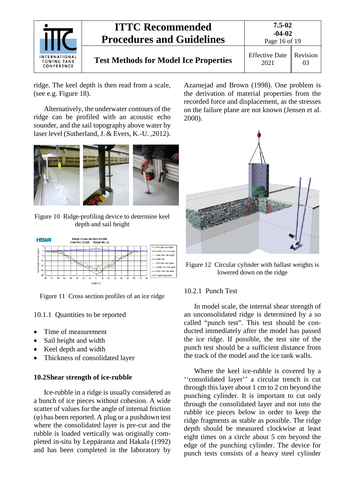

ridge. The keel depth is then read from a scale, (see e.g. [Figure 18\)](#page-15-3).

Alternatively, the underwater contours of the ridge can be profiled with an acoustic echo sounder, and the sail topography above water by laser level (Sutherland, J. & Evers, K.-U. ,2012).



Figure 10 Ridge-profiling device to determine keel depth and sail height



Figure 11 Cross section profiles of an ice ridge

#### <span id="page-15-0"></span>10.1.1 Quantities to be reported

- Time of measurement
- Sail height and width
- Keel depth and width
- Thickness of consolidated layer

#### <span id="page-15-1"></span>**10.2Shear strength of ice-rubble**

Ice-rubble in a ridge is usually considered as a bunch of ice pieces without cohesion. A wide scatter of values for the angle of internal friction (φ) has been reported. A plug or a pushdown test where the consolidated layer is pre-cut and the rubble is loaded vertically was originally completed in-situ by Leppäranta and Hakala (1992) and has been completed in the laboratory by Azarnejad and Brown (1998). One problem is the derivation of material properties from the recorded force and displacement, as the stresses on the failure plane are not known (Jensen et al. 2000).



Figure 12 Circular cylinder with ballast weights is lowered down on the ridge

#### <span id="page-15-3"></span><span id="page-15-2"></span>10.2.1 Punch Test

In model scale, the internal shear strength of an unconsolidated ridge is determined by a so called "punch test". This test should be conducted immediately after the model has passed the ice ridge. If possible, the test site of the punch test should be a sufficient distance from the track of the model and the ice tank walls.

Where the keel ice-rubble is covered by a ''consolidated layer'' a circular trench is cut through this layer about 1 cm to 2 cm beyond the punching cylinder. It is important to cut only through the consolidated layer and not into the rubble ice pieces below in order to keep the ridge fragments as stable as possible. The ridge depth should be measured clockwise at least eight times on a circle about 5 cm beyond the edge of the punching cylinder. The device for punch tests consists of a heavy steel cylinder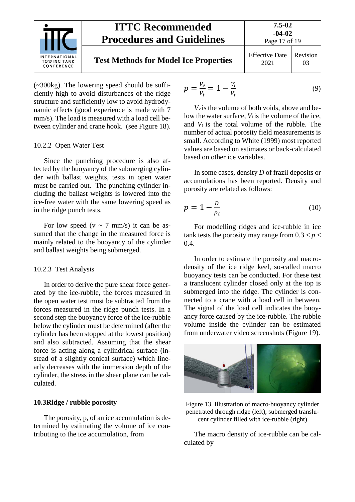

#### **7.5-02 -04-02** Page 17 of 19

# **Test Methods for Model Ice Properties** Effective Date

#### 2021 Revision 03

(~300kg). The lowering speed should be sufficiently high to avoid disturbances of the ridge structure and sufficiently low to avoid hydrodynamic effects (good experience is made with 7 mm/s). The load is measured with a load cell between cylinder and crane hook. (see [Figure 18\)](#page-15-3).

#### <span id="page-16-0"></span>10.2.2 Open Water Test

Since the punching procedure is also affected by the buoyancy of the submerging cylinder with ballast weights, tests in open water must be carried out. The punching cylinder including the ballast weights is lowered into the ice-free water with the same lowering speed as in the ridge punch tests.

For low speed ( $v \sim 7$  mm/s) it can be assumed that the change in the measured force is mainly related to the buoyancy of the cylinder and ballast weights being submerged.

#### <span id="page-16-1"></span>10.2.3 Test Analysis

In order to derive the pure shear force generated by the ice-rubble, the forces measured in the open water test must be subtracted from the forces measured in the ridge punch tests. In a second step the buoyancy force of the ice-rubble below the cylinder must be determined (after the cylinder has been stopped at the lowest position) and also subtracted. Assuming that the shear force is acting along a cylindrical surface (instead of a slightly conical surface) which linearly decreases with the immersion depth of the cylinder, the stress in the shear plane can be calculated.

#### <span id="page-16-2"></span>**10.3Ridge / rubble porosity**

The porosity, p, of an ice accumulation is determined by estimating the volume of ice contributing to the ice accumulation, from

$$
p = \frac{V_v}{V_t} = 1 - \frac{V_I}{V_t}
$$
 (9)

*Vv* is the volume of both voids, above and below the water surface, *V*i is the volume of the ice, and *V*t is the total volume of the rubble. The number of actual porosity field measurements is small. According to White (1999) most reported values are based on estimates or back-calculated based on other ice variables.

In some cases, density *D* of frazil deposits or accumulations has been reported. Density and porosity are related as follows:

$$
p = 1 - \frac{D}{\rho_i} \tag{10}
$$

For modelling ridges and ice-rubble in ice tank tests the porosity may range from  $0.3 < p <$ 0.4.

In order to estimate the porosity and macrodensity of the ice ridge keel, so-called macro buoyancy tests can be conducted. For these test a translucent cylinder closed only at the top is submerged into the ridge. The cylinder is connected to a crane with a load cell in between. The signal of the load cell indicates the buoyancy force caused by the ice-rubble. The rubble volume inside the cylinder can be estimated from underwater video screenshots (Figure 19).



Figure 13 Illustration of macro-buoyancy cylinder penetrated through ridge (left), submerged translucent cylinder filled with ice-rubble (right)

The macro density of ice-rubble can be calculated by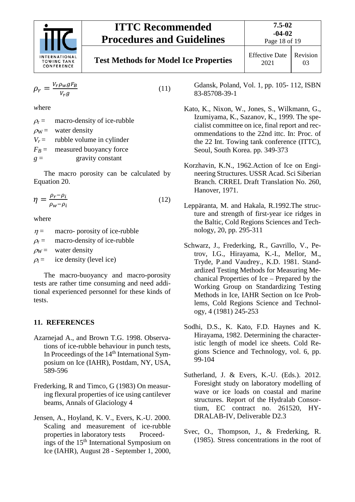

Revision

2021 03

$$
\rho_r = \frac{V_r \rho_w g F_B}{V_r g} \tag{11}
$$

*w*here

 $\rho_r$  = macro-density of ice-rubble  $\rho_{\rm W}$  = water density  $V_r$  = rubble volume in cylinder  $F_B$  = measured buoyancy force  $g =$  gravity constant

The macro porosity can be calculated by Equation 20.

$$
\eta = \frac{\rho_r - \rho_i}{\rho_w - \rho_i} \tag{12}
$$

where

 $\eta =$  macro- porosity of ice-rubble

 $\rho_r$  = macro-density of ice-rubble

 $\rho_W$  = water density

 $\rho_i$  = ice density (level ice)

The macro-buoyancy and macro-porosity tests are rather time consuming and need additional experienced personnel for these kinds of tests.

#### <span id="page-17-0"></span>**11. REFERENCES**

- Azarnejad A., and Brown T.G. 1998. Observations of ice-rubble behaviour in punch tests, In Proceedings of the 14<sup>th</sup> International Symposium on Ice (IAHR), Postdam, NY, USA, 589-596
- Frederking, R and Timco, G (1983) On measuring flexural properties of ice using cantilever beams, Annals of Glaciology 4
- Jensen, A., Hoyland, K. V., Evers, K.-U. 2000. Scaling and measurement of ice-rubble properties in laboratory tests Proceedings of the 15<sup>th</sup> International Symposium on Ice (IAHR), August 28 - September 1, 2000,

Gdansk, Poland, Vol. 1, pp. 105- 112, ISBN 83-85708-39-1

- Kato, K., Nixon, W., Jones, S., Wilkmann, G., Izumiyama, K., Sazanov, K., 1999. The specialist committee on ice, final report and recommendations to the 22nd ittc. In: Proc. of the 22 Int. Towing tank conference (ITTC), Seoul, South Korea. pp. 349-373
- Korzhavin, K.N., 1962.Action of Ice on Engineering Structures. USSR Acad. Sci Siberian Branch. CRREL Draft Translation No. 260, Hanover, 1971.
- Leppäranta, M. and Hakala, R.1992.The structure and strength of first-year ice ridges in the Baltic, Cold Regions Sciences and Technology, 20, pp. 295-311
- Schwarz, J., Frederking, R., Gavrillo, V., Petrov, I.G., Hirayama, K.-I., Mellor, M., Tryde, P.and Vaudrey., K.D. 1981. Standardized Testing Methods for Measuring Mechanical Properties of Ice – Prepared by the Working Group on Standardizing Testing Methods in Ice, IAHR Section on Ice Problems, Cold Regions Science and Technology, 4 (1981) 245-253
- Sodhi, D.S., K. Kato, F.D. Haynes and K. Hirayama, 1982. Determining the characteristic length of model ice sheets. Cold Regions Science and Technology, vol. 6, pp. 99-104
- Sutherland, J. & Evers, K.-U. (Eds.). 2012. Foresight study on laboratory modelling of wave or ice loads on coastal and marine structures. Report of the Hydralab Consortium, EC contract no. 261520, HY-DRALAB-IV, Deliverable D2.3
- Svec, O., Thompson, J., & Frederking, R. (1985). Stress concentrations in the root of